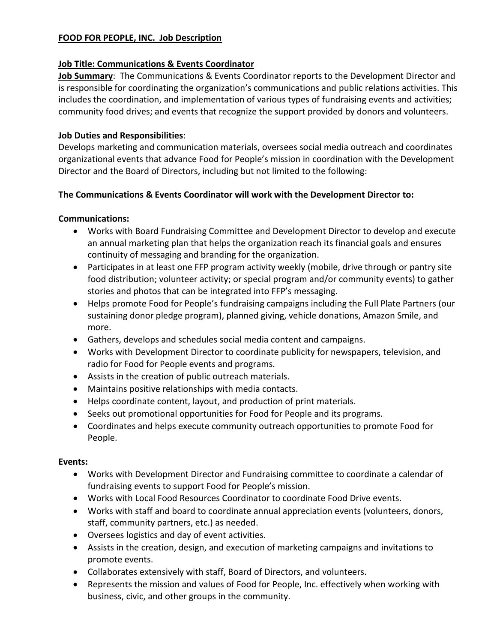#### **FOOD FOR PEOPLE, INC. Job Description**

#### **Job Title: Communications & Events Coordinator**

**Job Summary**: The Communications & Events Coordinator reports to the Development Director and is responsible for coordinating the organization's communications and public relations activities. This includes the coordination, and implementation of various types of fundraising events and activities; community food drives; and events that recognize the support provided by donors and volunteers.

## **Job Duties and Responsibilities**:

Develops marketing and communication materials, oversees social media outreach and coordinates organizational events that advance Food for People's mission in coordination with the Development Director and the Board of Directors, including but not limited to the following:

## **The Communications & Events Coordinator will work with the Development Director to:**

## **Communications:**

- Works with Board Fundraising Committee and Development Director to develop and execute an annual marketing plan that helps the organization reach its financial goals and ensures continuity of messaging and branding for the organization.
- Participates in at least one FFP program activity weekly (mobile, drive through or pantry site food distribution; volunteer activity; or special program and/or community events) to gather stories and photos that can be integrated into FFP's messaging.
- Helps promote Food for People's fundraising campaigns including the Full Plate Partners (our sustaining donor pledge program), planned giving, vehicle donations, Amazon Smile, and more.
- Gathers, develops and schedules social media content and campaigns.
- Works with Development Director to coordinate publicity for newspapers, television, and radio for Food for People events and programs.
- Assists in the creation of public outreach materials.
- Maintains positive relationships with media contacts.
- Helps coordinate content, layout, and production of print materials.
- Seeks out promotional opportunities for Food for People and its programs.
- Coordinates and helps execute community outreach opportunities to promote Food for People.

#### **Events:**

- Works with Development Director and Fundraising committee to coordinate a calendar of fundraising events to support Food for People's mission.
- Works with Local Food Resources Coordinator to coordinate Food Drive events.
- Works with staff and board to coordinate annual appreciation events (volunteers, donors, staff, community partners, etc.) as needed.
- Oversees logistics and day of event activities.
- Assists in the creation, design, and execution of marketing campaigns and invitations to promote events.
- Collaborates extensively with staff, Board of Directors, and volunteers.
- Represents the mission and values of Food for People, Inc. effectively when working with business, civic, and other groups in the community.